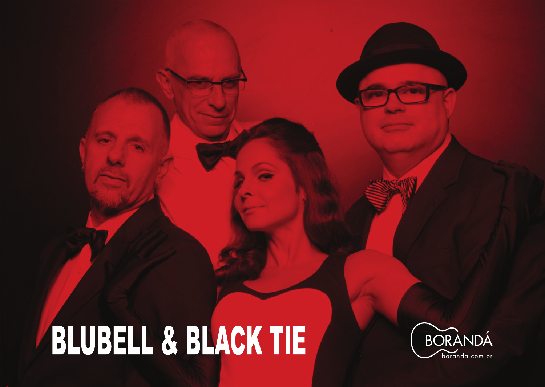# BLUBELL & BLACK TIE

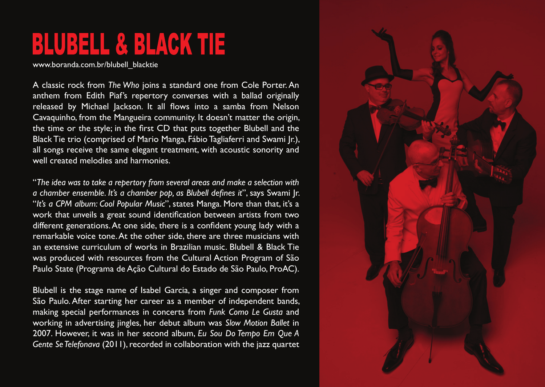A classic rock from *The Who* joins a standard one from Cole Porter. An anthem from Edith Piaf's repertory converses with a ballad originally released by Michael Jackson. It all flows into a samba from Nelson Cavaquinho, from the Mangueira community. It doesn't matter the origin, the time or the style; in the first CD that puts together Blubell and the Black Tie trio (comprised of Mario Manga, Fábio Tagliaferri and Swami Jr.), all songs receive the same elegant treatment, with acoustic sonority and well created melodies and harmonies.

"*The idea was to take a repertory from several areas and make a selection with a chamber ensemble. It's a chamber pop, as Blubell defines it*", says Swami Jr. "*It's a CPM album: Cool Popular Music*", states Manga. More than that, it's a work that unveils a great sound identification between artists from two different generations. At one side, there is a confident young lady with a remarkable voice tone. At the other side, there are three musicians with an extensive curriculum of works in Brazilian music. Blubell & Black Tie was produced with resources from the Cultural Action Program of São Paulo State (Programa de Ação Cultural do Estado de São Paulo, ProAC).

Blubell is the stage name of Isabel Garcia, a singer and composer from São Paulo. After starting her career as a member of independent bands, making special performances in concerts from *Funk Como Le Gusta* and working in advertising jingles, her debut album was *Slow Motion Ballet* in 2007. However, it was in her second album, *Eu Sou Do Tempo Em Que A Gente Se Telefonava* (2011), recorded in collaboration with the jazz quartet



## BLUBELL & BLACK TIE

www.boranda.com.br/blubell\_blacktie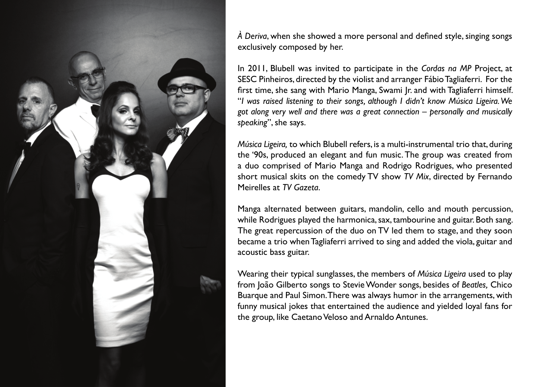

*À Deriva*, when she showed a more personal and defined style, singing songs exclusively composed by her.

In 2011, Blubell was invited to participate in the *Cordas na MP* Project, at SESC Pinheiros, directed by the violist and arranger Fábio Tagliaferri. For the first time, she sang with Mario Manga, Swami Jr. and with Tagliaferri himself. "*I was raised listening to their songs, although I didn't know Música Ligeira. We got along very well and there was a great connection – personally and musically speaking*", she says.

*Música Ligeira,* to which Blubell refers, is a multi-instrumental trio that, during the '90s, produced an elegant and fun music. The group was created from a duo comprised of Mario Manga and Rodrigo Rodrigues, who presented short musical skits on the comedy TV show *TV Mix*, directed by Fernando Meirelles at *TV Gazeta*.

Manga alternated between guitars, mandolin, cello and mouth percussion, while Rodrigues played the harmonica, sax, tambourine and guitar. Both sang. The great repercussion of the duo on TV led them to stage, and they soon became a trio when Tagliaferri arrived to sing and added the viola, guitar and acoustic bass guitar.

Wearing their typical sunglasses, the members of *Música Ligeira* used to play from João Gilberto songs to Stevie Wonder songs, besides of *Beatles,* Chico Buarque and Paul Simon. There was always humor in the arrangements, with funny musical jokes that entertained the audience and yielded loyal fans for the group, like Caetano Veloso and Arnaldo Antunes.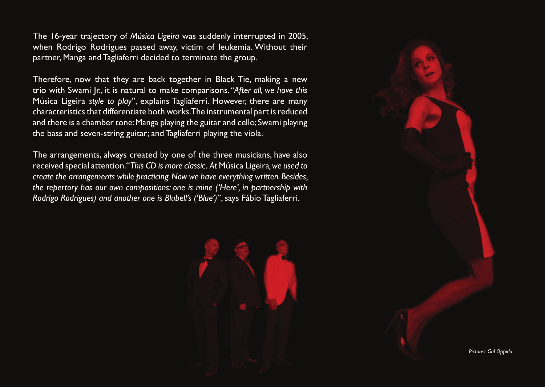The 16-year trajectory of *Música Ligeira* was suddenly interrupted in 2005, when Rodrigo Rodrigues passed away, victim of leukemia. Without their partner, Manga and Tagliaferri decided to terminate the group.

Therefore, now that they are back together in Black Tie, making a new trio with Swami Jr., it is natural to make comparisons. "*After all, we have this*  Música Ligeira *style to play*", explains Tagliaferri. However, there are many characteristics that differentiate both works. The instrumental part is reduced and there is a chamber tone: Manga playing the guitar and cello; Swami playing the bass and seven-string guitar; and Tagliaferri playing the viola.

The arrangements, always created by one of the three musicians, have also received special attention. "*This CD is more classic. At* Música Ligeira*, we used to create the arrangements while practicing. Now we have everything written. Besides, the repertory has our own compositions: one is mine ('Here', in partnership with Rodrigo Rodrigues) and another one is Blubell's ('Blue')*", says Fábio Tagliaferri.